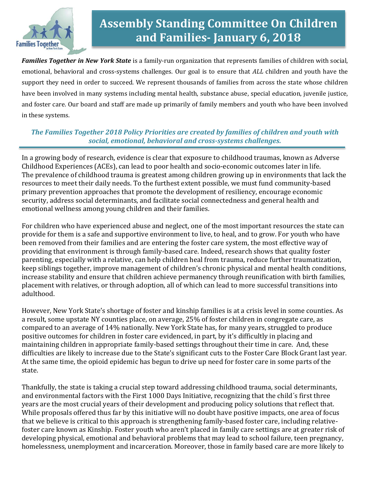

# **Assembly Standing Committee On Children and Families- January 6, 2018**

*Families Together in New York State* is a family-run organization that represents families of children with social, emotional, behavioral and cross-systems challenges. Our goal is to ensure that *ALL* children and youth have the support they need in order to succeed. We represent thousands of families from across the state whose children have been involved in many systems including mental health, substance abuse, special education, juvenile justice, and foster care. Our board and staff are made up primarily of family members and youth who have been involved in these systems.

#### *The Families Together 2018 Policy Priorities are created by families of children and youth with social, emotional, behavioral and cross-systems challenges.*

In a growing body of research, evidence is clear that exposure to childhood traumas, known as Adverse Childhood Experiences (ACEs), can lead to poor health and socio-economic outcomes later in life. The prevalence of childhood trauma is greatest among children growing up in environments that lack the resources to meet their daily needs. To the furthest extent possible, we must fund community-based primary prevention approaches that promote the development of resiliency, encourage economic security, address social determinants, and facilitate social connectedness and general health and emotional wellness among young children and their families.

For children who have experienced abuse and neglect, one of the most important resources the state can provide for them is a safe and supportive environment to live, to heal, and to grow. For youth who have been removed from their families and are entering the foster care system, the most effective way of providing that environment is through family-based care. Indeed, research shows that quality foster parenting, especially with a relative, can help children heal from trauma, reduce further traumatization, keep siblings together, improve management of children's chronic physical and mental health conditions, increase stability and ensure that children achieve permanency through reunification with birth families, placement with relatives, or through adoption, all of which can lead to more successful transitions into adulthood.

However, New York State's shortage of foster and kinship families is at a crisis level in some counties. As a result, some upstate NY counties place, on average, 25% of foster children in congregate care, as compared to an average of 14% nationally. New York State has, for many years, struggled to produce positive outcomes for children in foster care evidenced, in part, by it's difficultly in placing and maintaining children in appropriate family-based settings throughout their time in care. And, these difficulties are likely to increase due to the State's significant cuts to the Foster Care Block Grant last year. At the same time, the opioid epidemic has begun to drive up need for foster care in some parts of the state.

Thankfully, the state is taking a crucial step toward addressing childhood trauma, social determinants, and environmental factors with the First 1000 Days Initiative, recognizing that the child´s first three years are the most crucial years of their development and producing policy solutions that reflect that. While proposals offered thus far by this initiative will no doubt have positive impacts, one area of focus that we believe is critical to this approach is strengthening family-based foster care, including relativefoster care known as Kinship. Foster youth who aren't placed in family care settings are at greater risk of developing physical, emotional and behavioral problems that may lead to school failure, teen pregnancy, homelessness, unemployment and incarceration. Moreover, those in family based care are more likely to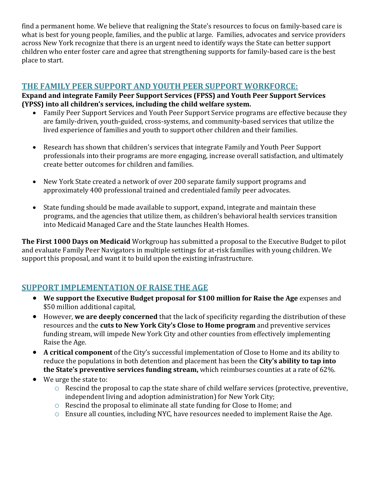find a permanent home. We believe that realigning the State's resources to focus on family-based care is what is best for young people, families, and the public at large. Families, advocates and service providers across New York recognize that there is an urgent need to identify ways the State can better support children who enter foster care and agree that strengthening supports for family-based care is the best place to start.

# **THE FAMILY PEER SUPPORT AND YOUTH PEER SUPPORT WORKFORCE:**

**Expand and integrate Family Peer Support Services (FPSS) and Youth Peer Support Services (YPSS) into all children's services, including the child welfare system.** 

- Family Peer Support Services and Youth Peer Support Service programs are effective because they are family-driven, youth-guided, cross-systems, and community-based services that utilize the lived experience of families and youth to support other children and their families.
- Research has shown that children's services that integrate Family and Youth Peer Support professionals into their programs are more engaging, increase overall satisfaction, and ultimately create better outcomes for children and families.
- New York State created a network of over 200 separate family support programs and approximately 400 professional trained and credentialed family peer advocates.
- State funding should be made available to support, expand, integrate and maintain these programs, and the agencies that utilize them, as children's behavioral health services transition into Medicaid Managed Care and the State launches Health Homes.

**The First 1000 Days on Medicaid** Workgroup has submitted a proposal to the Executive Budget to pilot and evaluate Family Peer Navigators in multiple settings for at-risk families with young children. We support this proposal, and want it to build upon the existing infrastructure.

## **SUPPORT IMPLEMENTATION OF RAISE THE AGE**

- **We support the Executive Budget proposal for \$100 million for Raise the Age** expenses and \$50 million additional capital,
- However, **we are deeply concerned** that the lack of specificity regarding the distribution of these resources and the **cuts to New York City's Close to Home program** and preventive services funding stream, will impede New York City and other counties from effectively implementing Raise the Age.
- **A critical component** of the City's successful implementation of Close to Home and its ability to reduce the populations in both detention and placement has been the **City's ability to tap into the State's preventive services funding stream,** which reimburses counties at a rate of 62%.
- We urge the state to:
	- o Rescind the proposal to cap the state share of child welfare services (protective, preventive, independent living and adoption administration) for New York City;
	- o Rescind the proposal to eliminate all state funding for Close to Home; and
	- o Ensure all counties, including NYC, have resources needed to implement Raise the Age.